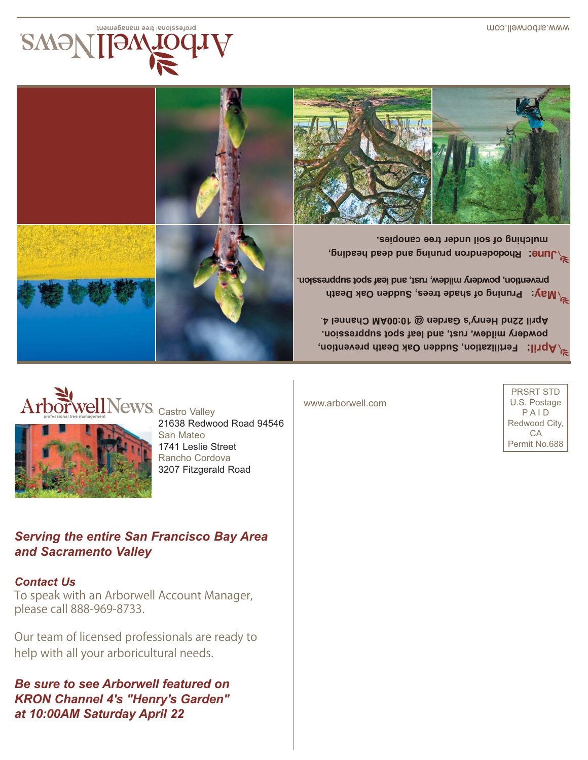*Be sure to see Arborwell featured on KRON Channel 4's "Henry's Garden" at 10:00AM Saturday April 22* 

help with all your arboricultural needs.

*Contact Us*

please call 888-969-8733.

Our team of licensed professionals are ready to

To speak with an Arborwell Account Manager,

*and Sacramento Valley*

*Serving the entire San Francisco Bay Area* 

ArborwellNews Castro Valley 21638 Redwood Road 94546 San Mateo 1741 Leslie Street Rancho Cordova 3207 Fitzgerald Road

www.arborwell.com

**oden propries by and the propriet of the set of the set of the set of the set of the set of the set of the set of the set of the set of the set of the set of the set of the set of the set of the set of the set of the set** 

PRSRT STD U.S. Postage P A I D Redwood City, CA Permit No.688